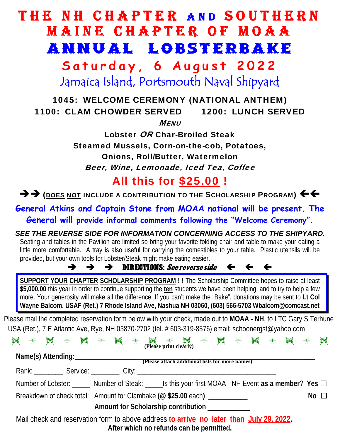## THE NH CHAPTER AND SOUTHERN MAINE CHAPTER OF MOAA ANNUAL LOBSTERBAKE

**Saturday, 6 August 2022**  Jamaica Island, Portsmouth Naval Shipyard

## 1045: WELCOME CEREMONY (NATIONAL ANTHEM) 1100: CLAM CHOWDER SERVED 1200: LUNCH SERVED MENU

Lobster OR Char-Broiled Steak Steamed Mussels, Corn-on-the-cob, Potatoes, Onions, Roll/Butter, Watermelon Beer, Wine, Lemonade, Iced Tea, Coffee

All this for \$25.00 !

 $\rightarrow$   $\rightarrow$  (does not include a contribution to the Scholarship Program)  $\leftarrow$ 

**General Atkins and Captain Stone from MOAA national will be present. The General will provide informal comments following the "Welcome Ceremony".** 

*SEE THE REVERSE SIDE FOR INFORMATION CONCERNING ACCESS TO THE SHIPYARD*. Seating and tables in the Pavilion are limited so bring your favorite folding chair and table to make your eating a little more comfortable. A tray is also useful for carrying the comestibles to your table. Plastic utensils will be provided, but your own tools for Lobster/Steak might make eating easier.

## $\rightarrow$   $\rightarrow$  DIRECTIONS: See reverse side  $\leftarrow$   $\leftarrow$   $\leftarrow$

**SUPPORT YOUR CHAPTER SCHOLARSHIP PROGRAM ! !** The Scholarship Committee hopes to raise at least **\$5,000.00** this year in order to continue supporting the **ten** students we have been helping, and to try to help a few more. Your generosity will make all the difference. If you can't make the "Bake", donations may be sent to **Lt Col Wayne Balcom, USAF (Ret.) 7 Rhode Island Ave, Nashua NH 03060, (603) 566-5703 Wbalcom@comcast.net** 

Please mail the completed reservation form below with your check, made out to **MOAA - NH**, to LTC Gary S Terhune USA (Ret.), 7 E Atlantic Ave, Rye, NH 03870-2702 (tel. # 603-319-8576) email: schoonergst@yahoo.com

|  | $\begin{array}{l} {\bf M} \ \ \ast \ \ {\bf M} \ \ \ast \ \ {\bf M} \ \ \ast \ \ {\bf M} \ \ \ast \ \ {\bf M} \ \ \ast \ \ {\bf M} \ \ \ast \ \ {\bf M} \ \ \ast \ \ {\bf M} \ \ \ast \ \ {\bf M} \ \ \ast \ \ {\bf M} \ \ \ast \ \ {\bf M} \ \ \ast \ \ {\bf M} \ \ \ast \ \ {\bf M} \ \ \ast \ \ {\bf M} \ \ \ast \ \ {\bf M} \ \ \ast \ \ {\bf M} \ \ \ast \ \ {\bf M} \ \ \ast \ \ {\bf M} \ \ \ast \ \ {\bf M} \ \ \ast \ \ {\bf M} \ \ \ast \ \ {\bf M} \ \ \ast \ \ {\bf M$ |  |  |  |  |  |  |  |  |                                                 |  |  |  |  |                                                                                                          |  |           |
|--|------------------------------------------------------------------------------------------------------------------------------------------------------------------------------------------------------------------------------------------------------------------------------------------------------------------------------------------------------------------------------------------------------------------------------------------------------------------------------------|--|--|--|--|--|--|--|--|-------------------------------------------------|--|--|--|--|----------------------------------------------------------------------------------------------------------|--|-----------|
|  |                                                                                                                                                                                                                                                                                                                                                                                                                                                                                    |  |  |  |  |  |  |  |  |                                                 |  |  |  |  |                                                                                                          |  |           |
|  |                                                                                                                                                                                                                                                                                                                                                                                                                                                                                    |  |  |  |  |  |  |  |  |                                                 |  |  |  |  |                                                                                                          |  |           |
|  |                                                                                                                                                                                                                                                                                                                                                                                                                                                                                    |  |  |  |  |  |  |  |  |                                                 |  |  |  |  | Number of Lobster: ______ Number of Steak: _______ Is this your first MOAA - NH Event as a member? Yes □ |  |           |
|  | Breakdown of check total: Amount for Clambake (@ \$25.00 each) _________                                                                                                                                                                                                                                                                                                                                                                                                           |  |  |  |  |  |  |  |  |                                                 |  |  |  |  |                                                                                                          |  | No $\Box$ |
|  |                                                                                                                                                                                                                                                                                                                                                                                                                                                                                    |  |  |  |  |  |  |  |  | Amount for Scholarship contribution ___________ |  |  |  |  |                                                                                                          |  |           |
|  | Mail check and reservation form to above address to arrive no later than July 29, 2022.                                                                                                                                                                                                                                                                                                                                                                                            |  |  |  |  |  |  |  |  | After which no refunds can be permitted.        |  |  |  |  |                                                                                                          |  |           |